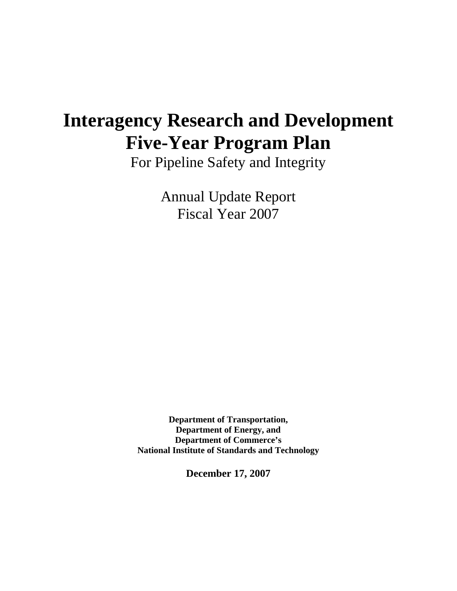# **Interagency Research and Development Five-Year Program Plan**

For Pipeline Safety and Integrity

Annual Update Report Fiscal Year 2007

**Department of Transportation, Department of Energy, and Department of Commerce's National Institute of Standards and Technology**

**December 17, 2007**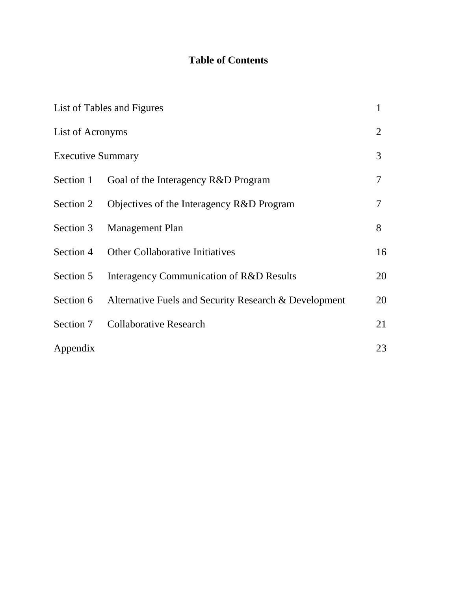## **Table of Contents**

|                          | List of Tables and Figures                            | 1              |
|--------------------------|-------------------------------------------------------|----------------|
| List of Acronyms         |                                                       | $\overline{2}$ |
| <b>Executive Summary</b> |                                                       | 3              |
| Section 1                | Goal of the Interagency R&D Program                   | 7              |
| Section 2                | Objectives of the Interagency R&D Program             | 7              |
| Section 3                | <b>Management Plan</b>                                | 8              |
| Section 4                | <b>Other Collaborative Initiatives</b>                | 16             |
| Section 5                | Interagency Communication of R&D Results              | 20             |
| Section 6                | Alternative Fuels and Security Research & Development | 20             |
| Section 7                | <b>Collaborative Research</b>                         | 21             |
| Appendix                 |                                                       | 23             |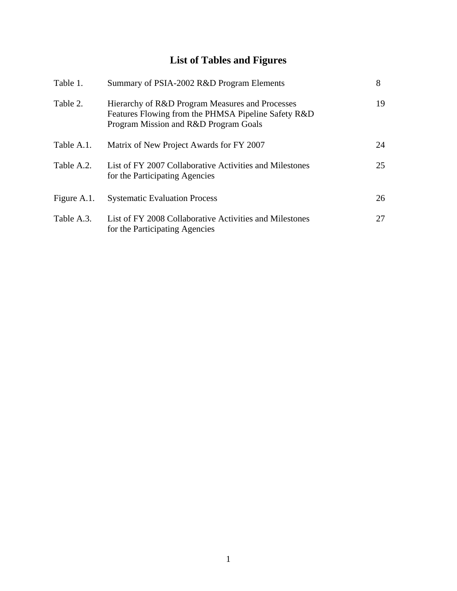# **List of Tables and Figures**

| Table 1.    | Summary of PSIA-2002 R&D Program Elements                                                                                                       | 8  |
|-------------|-------------------------------------------------------------------------------------------------------------------------------------------------|----|
| Table 2.    | Hierarchy of R&D Program Measures and Processes<br>Features Flowing from the PHMSA Pipeline Safety R&D<br>Program Mission and R&D Program Goals | 19 |
| Table A.1.  | Matrix of New Project Awards for FY 2007                                                                                                        | 24 |
| Table A.2.  | List of FY 2007 Collaborative Activities and Milestones<br>for the Participating Agencies                                                       | 25 |
| Figure A.1. | <b>Systematic Evaluation Process</b>                                                                                                            | 26 |
| Table A.3.  | List of FY 2008 Collaborative Activities and Milestones<br>for the Participating Agencies                                                       | 27 |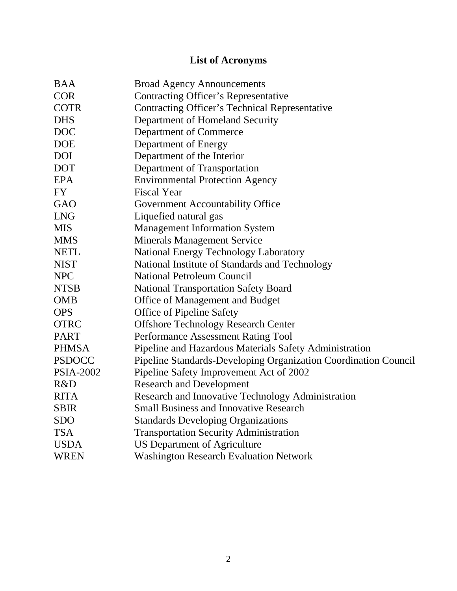# **List of Acronyms**

| <b>BAA</b>       | <b>Broad Agency Announcements</b>                               |
|------------------|-----------------------------------------------------------------|
| <b>COR</b>       | <b>Contracting Officer's Representative</b>                     |
| <b>COTR</b>      | <b>Contracting Officer's Technical Representative</b>           |
| <b>DHS</b>       | Department of Homeland Security                                 |
| <b>DOC</b>       | Department of Commerce                                          |
| <b>DOE</b>       | Department of Energy                                            |
| <b>DOI</b>       | Department of the Interior                                      |
| <b>DOT</b>       | Department of Transportation                                    |
| <b>EPA</b>       | <b>Environmental Protection Agency</b>                          |
| <b>FY</b>        | <b>Fiscal Year</b>                                              |
| <b>GAO</b>       | Government Accountability Office                                |
| <b>LNG</b>       | Liquefied natural gas                                           |
| <b>MIS</b>       | <b>Management Information System</b>                            |
| <b>MMS</b>       | <b>Minerals Management Service</b>                              |
| <b>NETL</b>      | <b>National Energy Technology Laboratory</b>                    |
| <b>NIST</b>      | National Institute of Standards and Technology                  |
| <b>NPC</b>       | <b>National Petroleum Council</b>                               |
| <b>NTSB</b>      | <b>National Transportation Safety Board</b>                     |
| <b>OMB</b>       | Office of Management and Budget                                 |
| <b>OPS</b>       | <b>Office of Pipeline Safety</b>                                |
| <b>OTRC</b>      | <b>Offshore Technology Research Center</b>                      |
| <b>PART</b>      | Performance Assessment Rating Tool                              |
| <b>PHMSA</b>     | Pipeline and Hazardous Materials Safety Administration          |
| <b>PSDOCC</b>    | Pipeline Standards-Developing Organization Coordination Council |
| <b>PSIA-2002</b> | Pipeline Safety Improvement Act of 2002                         |
| R&D              | <b>Research and Development</b>                                 |
| <b>RITA</b>      | Research and Innovative Technology Administration               |
| <b>SBIR</b>      | <b>Small Business and Innovative Research</b>                   |
| <b>SDO</b>       | <b>Standards Developing Organizations</b>                       |
| <b>TSA</b>       | <b>Transportation Security Administration</b>                   |
| <b>USDA</b>      | <b>US Department of Agriculture</b>                             |
| <b>WREN</b>      | <b>Washington Research Evaluation Network</b>                   |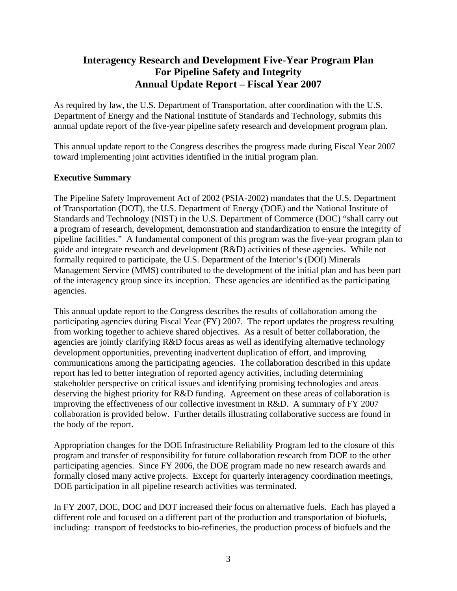### **Interagency Research and Development Five-Year Program Plan For Pipeline Safety and Integrity Annual Update Report – Fiscal Year 2007**

As required by law, the U.S. Department of Transportation, after coordination with the U.S. Department of Energy and the National Institute of Standards and Technology, submits this annual update report of the five-year pipeline safety research and development program plan.

This annual update report to the Congress describes the progress made during Fiscal Year 2007 toward implementing joint activities identified in the initial program plan.

#### **Executive Summary**

The Pipeline Safety Improvement Act of 2002 (PSIA-2002) mandates that the U.S. Department of Transportation (DOT), the U.S. Department of Energy (DOE) and the National Institute of Standards and Technology (NIST) in the U.S. Department of Commerce (DOC) "shall carry out a program of research, development, demonstration and standardization to ensure the integrity of pipeline facilities." A fundamental component of this program was the five-year program plan to guide and integrate research and development (R&D) activities of these agencies. While not formally required to participate, the U.S. Department of the Interior's (DOI) Minerals Management Service (MMS) contributed to the development of the initial plan and has been part of the interagency group since its inception. These agencies are identified as the participating agencies.

This annual update report to the Congress describes the results of collaboration among the participating agencies during Fiscal Year (FY) 2007. The report updates the progress resulting from working together to achieve shared objectives. As a result of better collaboration, the agencies are jointly clarifying R&D focus areas as well as identifying alternative technology development opportunities, preventing inadvertent duplication of effort, and improving communications among the participating agencies. The collaboration described in this update report has led to better integration of reported agency activities, including determining stakeholder perspective on critical issues and identifying promising technologies and areas deserving the highest priority for R&D funding. Agreement on these areas of collaboration is improving the effectiveness of our collective investment in R&D. A summary of FY 2007 collaboration is provided below. Further details illustrating collaborative success are found in the body of the report.

Appropriation changes for the DOE Infrastructure Reliability Program led to the closure of this program and transfer of responsibility for future collaboration research from DOE to the other participating agencies. Since FY 2006, the DOE program made no new research awards and formally closed many active projects. Except for quarterly interagency coordination meetings, DOE participation in all pipeline research activities was terminated.

In FY 2007, DOE, DOC and DOT increased their focus on alternative fuels. Each has played a different role and focused on a different part of the production and transportation of biofuels, including: transport of feedstocks to bio-refineries, the production process of biofuels and the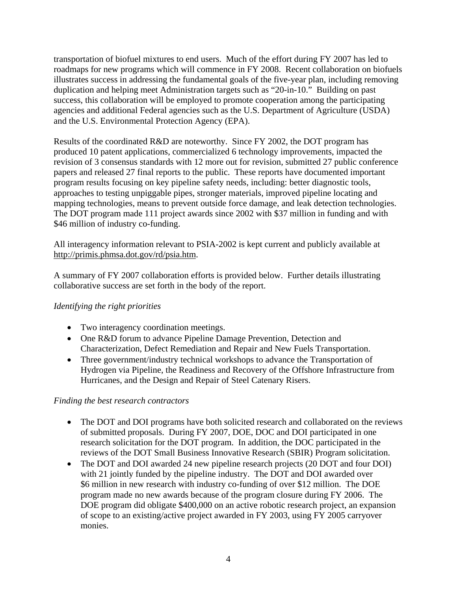transportation of biofuel mixtures to end users. Much of the effort during FY 2007 has led to roadmaps for new programs which will commence in FY 2008. Recent collaboration on biofuels illustrates success in addressing the fundamental goals of the five-year plan, including removing duplication and helping meet Administration targets such as "20-in-10." Building on past success, this collaboration will be employed to promote cooperation among the participating agencies and additional Federal agencies such as the U.S. Department of Agriculture (USDA) and the U.S. Environmental Protection Agency (EPA).

Results of the coordinated R&D are noteworthy. Since FY 2002, the DOT program has produced 10 patent applications, commercialized 6 technology improvements, impacted the revision of 3 consensus standards with 12 more out for revision, submitted 27 public conference papers and released 27 final reports to the public. These reports have documented important program results focusing on key pipeline safety needs, including: better diagnostic tools, approaches to testing unpiggable pipes, stronger materials, improved pipeline locating and mapping technologies, means to prevent outside force damage, and leak detection technologies. The DOT program made 111 project awards since 2002 with \$37 million in funding and with \$46 million of industry co-funding.

All interagency information relevant to PSIA-2002 is kept current and publicly available at http://primis.phmsa.dot.gov/rd/psia.htm.

A summary of FY 2007 collaboration efforts is provided below. Further details illustrating collaborative success are set forth in the body of the report.

#### *Identifying the right priorities*

- Two interagency coordination meetings.
- One R&D forum to advance Pipeline Damage Prevention, Detection and Characterization, Defect Remediation and Repair and New Fuels Transportation.
- Three government/industry technical workshops to advance the Transportation of Hydrogen via Pipeline, the Readiness and Recovery of the Offshore Infrastructure from Hurricanes, and the Design and Repair of Steel Catenary Risers.

#### *Finding the best research contractors*

- The DOT and DOI programs have both solicited research and collaborated on the reviews of submitted proposals. During FY 2007, DOE, DOC and DOI participated in one research solicitation for the DOT program. In addition, the DOC participated in the reviews of the DOT Small Business Innovative Research (SBIR) Program solicitation.
- The DOT and DOI awarded 24 new pipeline research projects (20 DOT and four DOI) with 21 jointly funded by the pipeline industry. The DOT and DOI awarded over \$6 million in new research with industry co-funding of over \$12 million. The DOE program made no new awards because of the program closure during FY 2006. The DOE program did obligate \$400,000 on an active robotic research project, an expansion of scope to an existing/active project awarded in FY 2003, using FY 2005 carryover monies.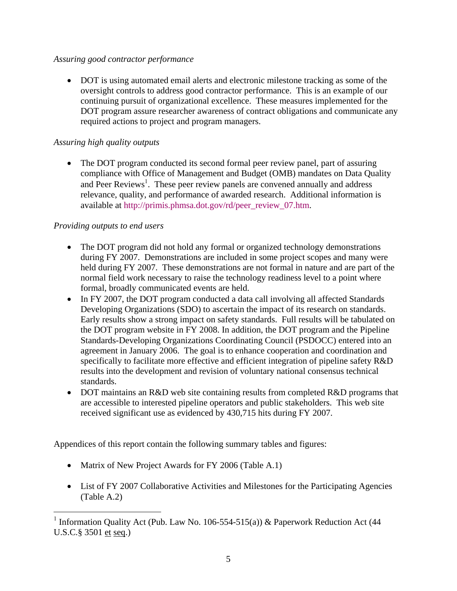#### *Assuring good contractor performance*

• DOT is using automated email alerts and electronic milestone tracking as some of the oversight controls to address good contractor performance. This is an example of our continuing pursuit of organizational excellence. These measures implemented for the DOT program assure researcher awareness of contract obligations and communicate any required actions to project and program managers.

#### *Assuring high quality outputs*

• The DOT program conducted its second formal peer review panel, part of assuring compliance with Office of Management and Budget (OMB) mandates on Data Quality and Peer Reviews<sup>1</sup>. These peer review panels are convened annually and address relevance, quality, and performance of awarded research. Additional information is available at http://primis.phmsa.dot.gov/rd/peer\_review\_07.htm.

#### *Providing outputs to end users*

 $\overline{a}$ 

- The DOT program did not hold any formal or organized technology demonstrations during FY 2007. Demonstrations are included in some project scopes and many were held during FY 2007. These demonstrations are not formal in nature and are part of the normal field work necessary to raise the technology readiness level to a point where formal, broadly communicated events are held.
- In FY 2007, the DOT program conducted a data call involving all affected Standards Developing Organizations (SDO) to ascertain the impact of its research on standards. Early results show a strong impact on safety standards. Full results will be tabulated on the DOT program website in FY 2008. In addition, the DOT program and the Pipeline Standards-Developing Organizations Coordinating Council (PSDOCC) entered into an agreement in January 2006. The goal is to enhance cooperation and coordination and specifically to facilitate more effective and efficient integration of pipeline safety R&D results into the development and revision of voluntary national consensus technical standards.
- DOT maintains an R&D web site containing results from completed R&D programs that are accessible to interested pipeline operators and public stakeholders. This web site received significant use as evidenced by 430,715 hits during FY 2007.

Appendices of this report contain the following summary tables and figures:

- Matrix of New Project Awards for FY 2006 (Table A.1)
- List of FY 2007 Collaborative Activities and Milestones for the Participating Agencies (Table A.2)

<sup>&</sup>lt;sup>1</sup> Information Quality Act (Pub. Law No. 106-554-515(a)) & Paperwork Reduction Act (44 U.S.C.§ 3501 et seq.)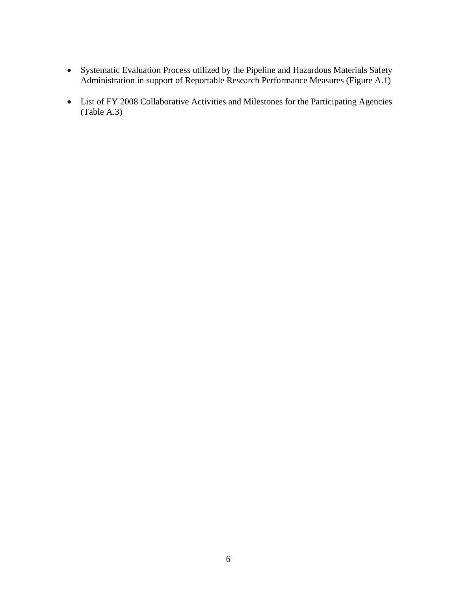- Systematic Evaluation Process utilized by the Pipeline and Hazardous Materials Safety Administration in support of Reportable Research Performance Measures (Figure A.1)
- List of FY 2008 Collaborative Activities and Milestones for the Participating Agencies (Table A.3)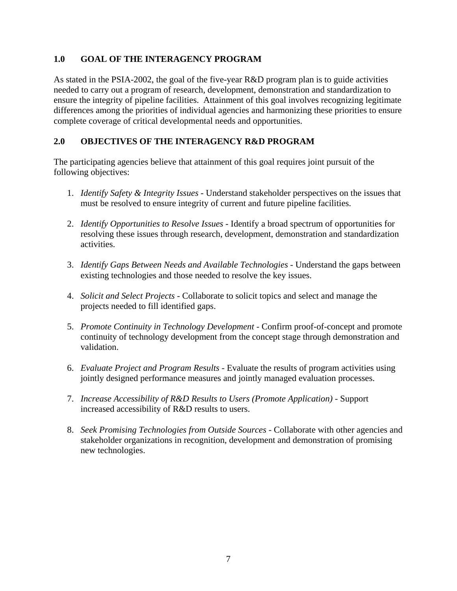#### **1.0 GOAL OF THE INTERAGENCY PROGRAM**

As stated in the PSIA-2002, the goal of the five-year R&D program plan is to guide activities needed to carry out a program of research, development, demonstration and standardization to ensure the integrity of pipeline facilities. Attainment of this goal involves recognizing legitimate differences among the priorities of individual agencies and harmonizing these priorities to ensure complete coverage of critical developmental needs and opportunities.

#### **2.0 OBJECTIVES OF THE INTERAGENCY R&D PROGRAM**

The participating agencies believe that attainment of this goal requires joint pursuit of the following objectives:

- 1. *Identify Safety & Integrity Issues* Understand stakeholder perspectives on the issues that must be resolved to ensure integrity of current and future pipeline facilities.
- 2. *Identify Opportunities to Resolve Issues* Identify a broad spectrum of opportunities for resolving these issues through research, development, demonstration and standardization activities.
- 3. *Identify Gaps Between Needs and Available Technologies* Understand the gaps between existing technologies and those needed to resolve the key issues.
- 4. *Solicit and Select Projects* Collaborate to solicit topics and select and manage the projects needed to fill identified gaps.
- 5. *Promote Continuity in Technology Development* Confirm proof-of-concept and promote continuity of technology development from the concept stage through demonstration and validation.
- 6. *Evaluate Project and Program Results* Evaluate the results of program activities using jointly designed performance measures and jointly managed evaluation processes.
- 7. *Increase Accessibility of R&D Results to Users (Promote Application)* Support increased accessibility of R&D results to users.
- 8. *Seek Promising Technologies from Outside Sources* Collaborate with other agencies and stakeholder organizations in recognition, development and demonstration of promising new technologies.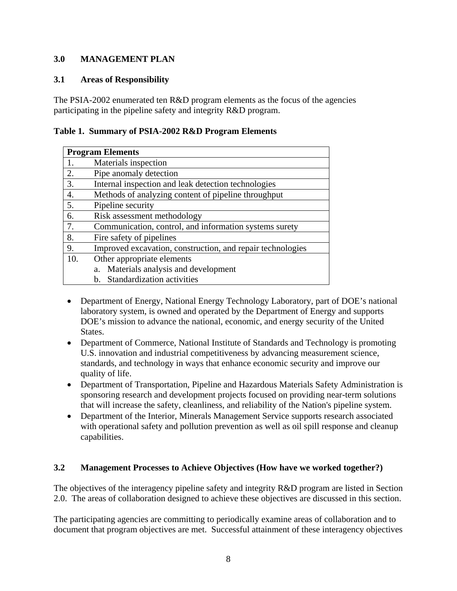#### **3.0 MANAGEMENT PLAN**

#### **3.1 Areas of Responsibility**

The PSIA-2002 enumerated ten R&D program elements as the focus of the agencies participating in the pipeline safety and integrity R&D program.

|  |  |  |  | Table 1. Summary of PSIA-2002 R&D Program Elements |  |
|--|--|--|--|----------------------------------------------------|--|
|--|--|--|--|----------------------------------------------------|--|

|     | <b>Program Elements</b>                                    |
|-----|------------------------------------------------------------|
|     | Materials inspection                                       |
| 2.  | Pipe anomaly detection                                     |
| 3.  | Internal inspection and leak detection technologies        |
| 4.  | Methods of analyzing content of pipeline throughput        |
| 5.  | Pipeline security                                          |
| 6.  | Risk assessment methodology                                |
| 7.  | Communication, control, and information systems surety     |
| 8.  | Fire safety of pipelines                                   |
| 9.  | Improved excavation, construction, and repair technologies |
| 10. | Other appropriate elements                                 |
|     | Materials analysis and development<br>a.                   |
|     | Standardization activities<br>h.                           |

- Department of Energy, National Energy Technology Laboratory, part of DOE's national laboratory system, is owned and operated by the Department of Energy and supports DOE's mission to advance the national, economic, and energy security of the United States.
- Department of Commerce, National Institute of Standards and Technology is promoting U.S. innovation and industrial competitiveness by advancing measurement science, standards, and technology in ways that enhance economic security and improve our quality of life.
- Department of Transportation, Pipeline and Hazardous Materials Safety Administration is sponsoring research and development projects focused on providing near-term solutions that will increase the safety, cleanliness, and reliability of the Nation's pipeline system.
- Department of the Interior, Minerals Management Service supports research associated with operational safety and pollution prevention as well as oil spill response and cleanup capabilities.

#### **3.2 Management Processes to Achieve Objectives (How have we worked together?)**

The objectives of the interagency pipeline safety and integrity R&D program are listed in Section 2.0. The areas of collaboration designed to achieve these objectives are discussed in this section.

The participating agencies are committing to periodically examine areas of collaboration and to document that program objectives are met. Successful attainment of these interagency objectives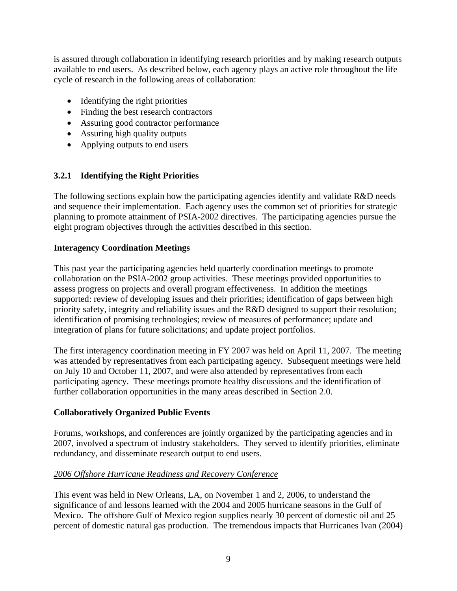is assured through collaboration in identifying research priorities and by making research outputs available to end users. As described below, each agency plays an active role throughout the life cycle of research in the following areas of collaboration:

- Identifying the right priorities
- Finding the best research contractors
- Assuring good contractor performance
- Assuring high quality outputs
- Applying outputs to end users

#### **3.2.1 Identifying the Right Priorities**

The following sections explain how the participating agencies identify and validate R&D needs and sequence their implementation. Each agency uses the common set of priorities for strategic planning to promote attainment of PSIA-2002 directives. The participating agencies pursue the eight program objectives through the activities described in this section.

#### **Interagency Coordination Meetings**

This past year the participating agencies held quarterly coordination meetings to promote collaboration on the PSIA-2002 group activities. These meetings provided opportunities to assess progress on projects and overall program effectiveness. In addition the meetings supported: review of developing issues and their priorities; identification of gaps between high priority safety, integrity and reliability issues and the R&D designed to support their resolution; identification of promising technologies; review of measures of performance; update and integration of plans for future solicitations; and update project portfolios.

The first interagency coordination meeting in FY 2007 was held on April 11, 2007. The meeting was attended by representatives from each participating agency. Subsequent meetings were held on July 10 and October 11, 2007, and were also attended by representatives from each participating agency. These meetings promote healthy discussions and the identification of further collaboration opportunities in the many areas described in Section 2.0.

#### **Collaboratively Organized Public Events**

Forums, workshops, and conferences are jointly organized by the participating agencies and in 2007, involved a spectrum of industry stakeholders. They served to identify priorities, eliminate redundancy, and disseminate research output to end users.

#### *2006 Offshore Hurricane Readiness and Recovery Conference*

This event was held in New Orleans, LA, on November 1 and 2, 2006, to understand the significance of and lessons learned with the 2004 and 2005 hurricane seasons in the Gulf of Mexico. The offshore Gulf of Mexico region supplies nearly 30 percent of domestic oil and 25 percent of domestic natural gas production. The tremendous impacts that Hurricanes Ivan (2004)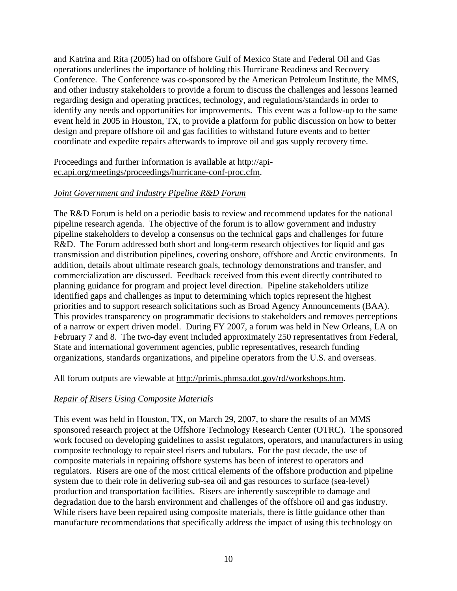and Katrina and Rita (2005) had on offshore Gulf of Mexico State and Federal Oil and Gas operations underlines the importance of holding this Hurricane Readiness and Recovery Conference. The Conference was co-sponsored by the American Petroleum Institute, the MMS, and other industry stakeholders to provide a forum to discuss the challenges and lessons learned regarding design and operating practices, technology, and regulations/standards in order to identify any needs and opportunities for improvements. This event was a follow-up to the same event held in 2005 in Houston, TX, to provide a platform for public discussion on how to better design and prepare offshore oil and gas facilities to withstand future events and to better coordinate and expedite repairs afterwards to improve oil and gas supply recovery time.

Proceedings and further information is available at http://apiec.api.org/meetings/proceedings/hurricane-conf-proc.cfm.

#### *Joint Government and Industry Pipeline R&D Forum*

The R&D Forum is held on a periodic basis to review and recommend updates for the national pipeline research agenda. The objective of the forum is to allow government and industry pipeline stakeholders to develop a consensus on the technical gaps and challenges for future R&D. The Forum addressed both short and long-term research objectives for liquid and gas transmission and distribution pipelines, covering onshore, offshore and Arctic environments. In addition, details about ultimate research goals, technology demonstrations and transfer, and commercialization are discussed. Feedback received from this event directly contributed to planning guidance for program and project level direction. Pipeline stakeholders utilize identified gaps and challenges as input to determining which topics represent the highest priorities and to support research solicitations such as Broad Agency Announcements (BAA). This provides transparency on programmatic decisions to stakeholders and removes perceptions of a narrow or expert driven model. During FY 2007, a forum was held in New Orleans, LA on February 7 and 8. The two-day event included approximately 250 representatives from Federal, State and international government agencies, public representatives, research funding organizations, standards organizations, and pipeline operators from the U.S. and overseas.

All forum outputs are viewable at http://primis.phmsa.dot.gov/rd/workshops.htm.

#### *Repair of Risers Using Composite Materials*

This event was held in Houston, TX, on March 29, 2007, to share the results of an MMS sponsored research project at the Offshore Technology Research Center (OTRC). The sponsored work focused on developing guidelines to assist regulators, operators, and manufacturers in using composite technology to repair steel risers and tubulars. For the past decade, the use of composite materials in repairing offshore systems has been of interest to operators and regulators. Risers are one of the most critical elements of the offshore production and pipeline system due to their role in delivering sub-sea oil and gas resources to surface (sea-level) production and transportation facilities. Risers are inherently susceptible to damage and degradation due to the harsh environment and challenges of the offshore oil and gas industry. While risers have been repaired using composite materials, there is little guidance other than manufacture recommendations that specifically address the impact of using this technology on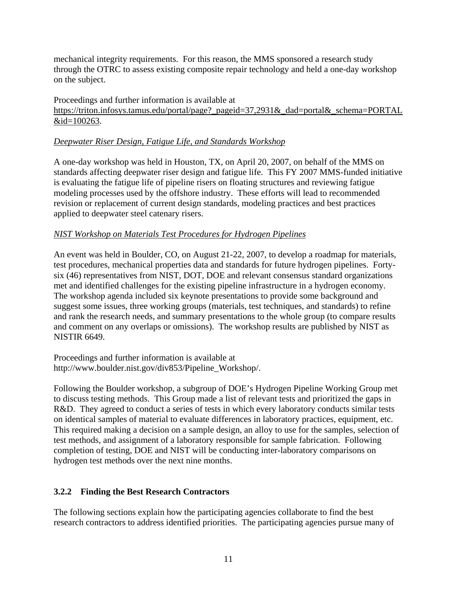mechanical integrity requirements. For this reason, the MMS sponsored a research study through the OTRC to assess existing composite repair technology and held a one-day workshop on the subject.

Proceedings and further information is available at https://triton.infosys.tamus.edu/portal/page?\_pageid=37,2931&\_dad=portal&\_schema=PORTAL &id=100263.

#### *Deepwater Riser Design, Fatigue Life, and Standards Workshop*

A one-day workshop was held in Houston, TX, on April 20, 2007, on behalf of the MMS on standards affecting deepwater riser design and fatigue life. This FY 2007 MMS-funded initiative is evaluating the fatigue life of pipeline risers on floating structures and reviewing fatigue modeling processes used by the offshore industry. These efforts will lead to recommended revision or replacement of current design standards, modeling practices and best practices applied to deepwater steel catenary risers.

#### *NIST Workshop on Materials Test Procedures for Hydrogen Pipelines*

An event was held in Boulder, CO, on August 21-22, 2007, to develop a roadmap for materials, test procedures, mechanical properties data and standards for future hydrogen pipelines. Fortysix (46) representatives from NIST, DOT, DOE and relevant consensus standard organizations met and identified challenges for the existing pipeline infrastructure in a hydrogen economy. The workshop agenda included six keynote presentations to provide some background and suggest some issues, three working groups (materials, test techniques, and standards) to refine and rank the research needs, and summary presentations to the whole group (to compare results and comment on any overlaps or omissions). The workshop results are published by NIST as NISTIR 6649.

Proceedings and further information is available at http://www.boulder.nist.gov/div853/Pipeline\_Workshop/.

Following the Boulder workshop, a subgroup of DOE's Hydrogen Pipeline Working Group met to discuss testing methods. This Group made a list of relevant tests and prioritized the gaps in R&D. They agreed to conduct a series of tests in which every laboratory conducts similar tests on identical samples of material to evaluate differences in laboratory practices, equipment, etc. This required making a decision on a sample design, an alloy to use for the samples, selection of test methods, and assignment of a laboratory responsible for sample fabrication. Following completion of testing, DOE and NIST will be conducting inter-laboratory comparisons on hydrogen test methods over the next nine months.

#### **3.2.2 Finding the Best Research Contractors**

The following sections explain how the participating agencies collaborate to find the best research contractors to address identified priorities. The participating agencies pursue many of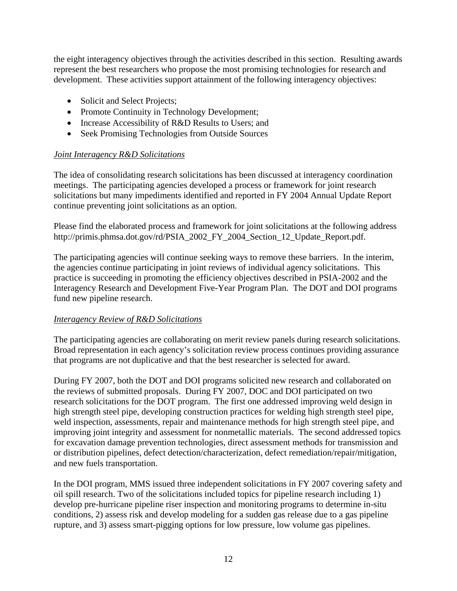the eight interagency objectives through the activities described in this section. Resulting awards represent the best researchers who propose the most promising technologies for research and development. These activities support attainment of the following interagency objectives:

- Solicit and Select Projects;
- Promote Continuity in Technology Development;
- Increase Accessibility of R&D Results to Users; and
- Seek Promising Technologies from Outside Sources

#### *Joint Interagency R&D Solicitations*

The idea of consolidating research solicitations has been discussed at interagency coordination meetings. The participating agencies developed a process or framework for joint research solicitations but many impediments identified and reported in FY 2004 Annual Update Report continue preventing joint solicitations as an option.

Please find the elaborated process and framework for joint solicitations at the following address http://primis.phmsa.dot.gov/rd/PSIA\_2002\_FY\_2004\_Section\_12\_Update\_Report.pdf.

The participating agencies will continue seeking ways to remove these barriers. In the interim, the agencies continue participating in joint reviews of individual agency solicitations. This practice is succeeding in promoting the efficiency objectives described in PSIA-2002 and the Interagency Research and Development Five-Year Program Plan. The DOT and DOI programs fund new pipeline research.

#### *Interagency Review of R&D Solicitations*

The participating agencies are collaborating on merit review panels during research solicitations. Broad representation in each agency's solicitation review process continues providing assurance that programs are not duplicative and that the best researcher is selected for award.

During FY 2007, both the DOT and DOI programs solicited new research and collaborated on the reviews of submitted proposals. During FY 2007, DOC and DOI participated on two research solicitations for the DOT program. The first one addressed improving weld design in high strength steel pipe, developing construction practices for welding high strength steel pipe, weld inspection, assessments, repair and maintenance methods for high strength steel pipe, and improving joint integrity and assessment for nonmetallic materials. The second addressed topics for excavation damage prevention technologies, direct assessment methods for transmission and or distribution pipelines, defect detection/characterization, defect remediation/repair/mitigation, and new fuels transportation.

In the DOI program, MMS issued three independent solicitations in FY 2007 covering safety and oil spill research. Two of the solicitations included topics for pipeline research including 1) develop pre-hurricane pipeline riser inspection and monitoring programs to determine in-situ conditions, 2) assess risk and develop modeling for a sudden gas release due to a gas pipeline rupture, and 3) assess smart-pigging options for low pressure, low volume gas pipelines.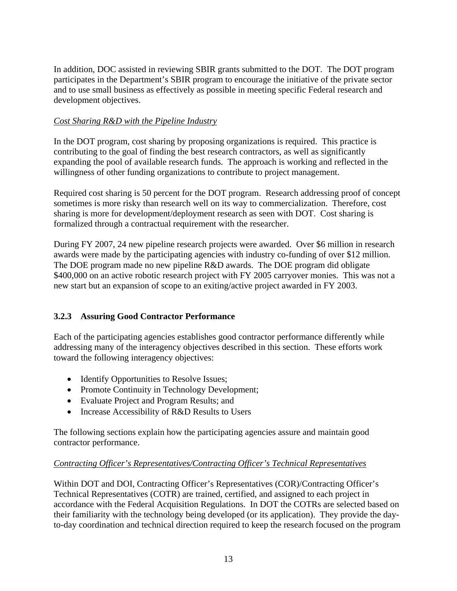In addition, DOC assisted in reviewing SBIR grants submitted to the DOT. The DOT program participates in the Department's SBIR program to encourage the initiative of the private sector and to use small business as effectively as possible in meeting specific Federal research and development objectives.

#### *Cost Sharing R&D with the Pipeline Industry*

In the DOT program, cost sharing by proposing organizations is required. This practice is contributing to the goal of finding the best research contractors, as well as significantly expanding the pool of available research funds. The approach is working and reflected in the willingness of other funding organizations to contribute to project management.

Required cost sharing is 50 percent for the DOT program. Research addressing proof of concept sometimes is more risky than research well on its way to commercialization. Therefore, cost sharing is more for development/deployment research as seen with DOT. Cost sharing is formalized through a contractual requirement with the researcher.

During FY 2007, 24 new pipeline research projects were awarded. Over \$6 million in research awards were made by the participating agencies with industry co-funding of over \$12 million. The DOE program made no new pipeline R&D awards. The DOE program did obligate \$400,000 on an active robotic research project with FY 2005 carryover monies. This was not a new start but an expansion of scope to an exiting/active project awarded in FY 2003.

#### **3.2.3 Assuring Good Contractor Performance**

Each of the participating agencies establishes good contractor performance differently while addressing many of the interagency objectives described in this section. These efforts work toward the following interagency objectives:

- Identify Opportunities to Resolve Issues;
- Promote Continuity in Technology Development;
- Evaluate Project and Program Results; and
- Increase Accessibility of R&D Results to Users

The following sections explain how the participating agencies assure and maintain good contractor performance.

#### *Contracting Officer's Representatives/Contracting Officer's Technical Representatives*

Within DOT and DOI, Contracting Officer's Representatives (COR)/Contracting Officer's Technical Representatives (COTR) are trained, certified, and assigned to each project in accordance with the Federal Acquisition Regulations. In DOT the COTRs are selected based on their familiarity with the technology being developed (or its application). They provide the dayto-day coordination and technical direction required to keep the research focused on the program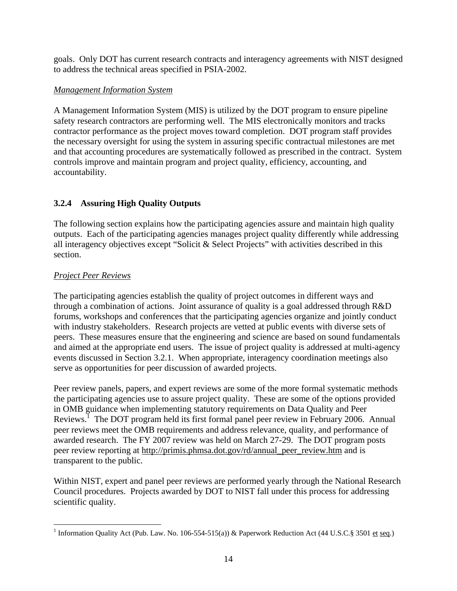goals. Only DOT has current research contracts and interagency agreements with NIST designed to address the technical areas specified in PSIA-2002.

#### *Management Information System*

A Management Information System (MIS) is utilized by the DOT program to ensure pipeline safety research contractors are performing well. The MIS electronically monitors and tracks contractor performance as the project moves toward completion. DOT program staff provides the necessary oversight for using the system in assuring specific contractual milestones are met and that accounting procedures are systematically followed as prescribed in the contract. System controls improve and maintain program and project quality, efficiency, accounting, and accountability.

#### **3.2.4 Assuring High Quality Outputs**

The following section explains how the participating agencies assure and maintain high quality outputs. Each of the participating agencies manages project quality differently while addressing all interagency objectives except "Solicit  $&$  Select Projects" with activities described in this section.

#### *Project Peer Reviews*

The participating agencies establish the quality of project outcomes in different ways and through a combination of actions. Joint assurance of quality is a goal addressed through R&D forums, workshops and conferences that the participating agencies organize and jointly conduct with industry stakeholders. Research projects are vetted at public events with diverse sets of peers. These measures ensure that the engineering and science are based on sound fundamentals and aimed at the appropriate end users. The issue of project quality is addressed at multi-agency events discussed in Section 3.2.1. When appropriate, interagency coordination meetings also serve as opportunities for peer discussion of awarded projects.

Peer review panels, papers, and expert reviews are some of the more formal systematic methods the participating agencies use to assure project quality. These are some of the options provided in OMB guidance when implementing statutory requirements on Data Quality and Peer Reviews.<sup>1</sup> The DOT program held its first formal panel peer review in February 2006. Annual peer reviews meet the OMB requirements and address relevance, quality, and performance of awarded research. The FY 2007 review was held on March 27-29. The DOT program posts peer review reporting at http://primis.phmsa.dot.gov/rd/annual\_peer\_review.htm and is transparent to the public.

Within NIST, expert and panel peer reviews are performed yearly through the National Research Council procedures. Projects awarded by DOT to NIST fall under this process for addressing scientific quality.

<sup>&</sup>lt;u>.</u> <sup>1</sup> Information Quality Act (Pub. Law. No. 106-554-515(a)) & Paperwork Reduction Act (44 U.S.C.§ 3501 et seq.)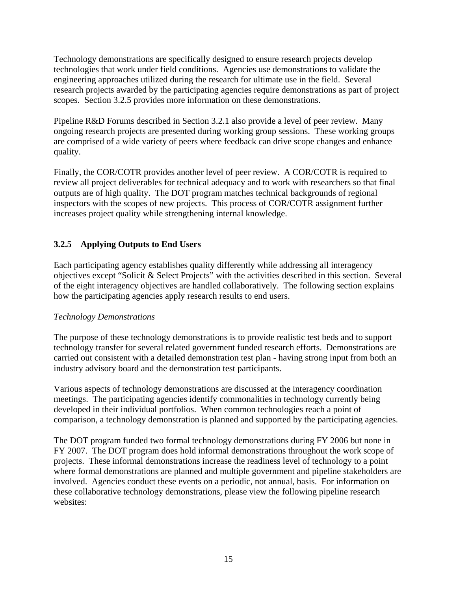Technology demonstrations are specifically designed to ensure research projects develop technologies that work under field conditions. Agencies use demonstrations to validate the engineering approaches utilized during the research for ultimate use in the field. Several research projects awarded by the participating agencies require demonstrations as part of project scopes. Section 3.2.5 provides more information on these demonstrations.

Pipeline R&D Forums described in Section 3.2.1 also provide a level of peer review. Many ongoing research projects are presented during working group sessions. These working groups are comprised of a wide variety of peers where feedback can drive scope changes and enhance quality.

Finally, the COR/COTR provides another level of peer review. A COR/COTR is required to review all project deliverables for technical adequacy and to work with researchers so that final outputs are of high quality. The DOT program matches technical backgrounds of regional inspectors with the scopes of new projects. This process of COR/COTR assignment further increases project quality while strengthening internal knowledge.

#### **3.2.5 Applying Outputs to End Users**

Each participating agency establishes quality differently while addressing all interagency objectives except "Solicit & Select Projects" with the activities described in this section. Several of the eight interagency objectives are handled collaboratively. The following section explains how the participating agencies apply research results to end users.

#### *Technology Demonstrations*

The purpose of these technology demonstrations is to provide realistic test beds and to support technology transfer for several related government funded research efforts. Demonstrations are carried out consistent with a detailed demonstration test plan - having strong input from both an industry advisory board and the demonstration test participants.

Various aspects of technology demonstrations are discussed at the interagency coordination meetings. The participating agencies identify commonalities in technology currently being developed in their individual portfolios. When common technologies reach a point of comparison, a technology demonstration is planned and supported by the participating agencies.

The DOT program funded two formal technology demonstrations during FY 2006 but none in FY 2007. The DOT program does hold informal demonstrations throughout the work scope of projects. These informal demonstrations increase the readiness level of technology to a point where formal demonstrations are planned and multiple government and pipeline stakeholders are involved. Agencies conduct these events on a periodic, not annual, basis. For information on these collaborative technology demonstrations, please view the following pipeline research websites: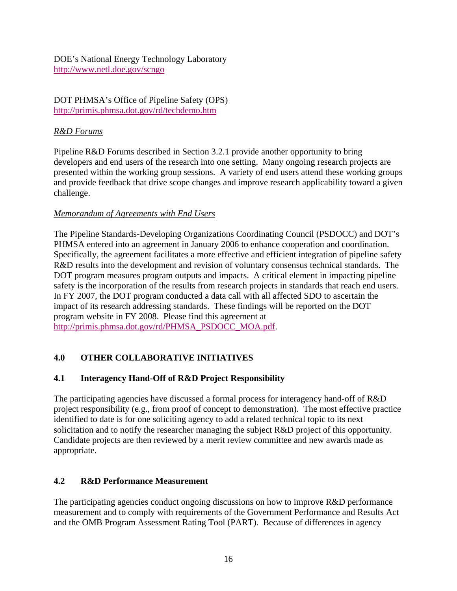DOE's National Energy Technology Laboratory http://www.netl.doe.gov/scngo

DOT PHMSA's Office of Pipeline Safety (OPS) http://primis.phmsa.dot.gov/rd/techdemo.htm

#### *R&D Forums*

Pipeline R&D Forums described in Section 3.2.1 provide another opportunity to bring developers and end users of the research into one setting. Many ongoing research projects are presented within the working group sessions. A variety of end users attend these working groups and provide feedback that drive scope changes and improve research applicability toward a given challenge.

#### *Memorandum of Agreements with End Users*

The Pipeline Standards-Developing Organizations Coordinating Council (PSDOCC) and DOT's PHMSA entered into an agreement in January 2006 to enhance cooperation and coordination. Specifically, the agreement facilitates a more effective and efficient integration of pipeline safety R&D results into the development and revision of voluntary consensus technical standards. The DOT program measures program outputs and impacts. A critical element in impacting pipeline safety is the incorporation of the results from research projects in standards that reach end users. In FY 2007, the DOT program conducted a data call with all affected SDO to ascertain the impact of its research addressing standards. These findings will be reported on the DOT program website in FY 2008. Please find this agreement at http://primis.phmsa.dot.gov/rd/PHMSA\_PSDOCC\_MOA.pdf.

#### **4.0 OTHER COLLABORATIVE INITIATIVES**

#### **4.1 Interagency Hand-Off of R&D Project Responsibility**

The participating agencies have discussed a formal process for interagency hand-off of R&D project responsibility (e.g., from proof of concept to demonstration). The most effective practice identified to date is for one soliciting agency to add a related technical topic to its next solicitation and to notify the researcher managing the subject R&D project of this opportunity. Candidate projects are then reviewed by a merit review committee and new awards made as appropriate.

#### **4.2 R&D Performance Measurement**

The participating agencies conduct ongoing discussions on how to improve R&D performance measurement and to comply with requirements of the Government Performance and Results Act and the OMB Program Assessment Rating Tool (PART). Because of differences in agency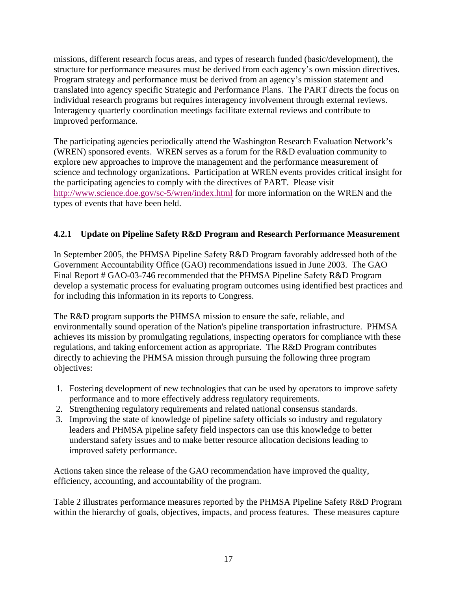missions, different research focus areas, and types of research funded (basic/development), the structure for performance measures must be derived from each agency's own mission directives. Program strategy and performance must be derived from an agency's mission statement and translated into agency specific Strategic and Performance Plans. The PART directs the focus on individual research programs but requires interagency involvement through external reviews. Interagency quarterly coordination meetings facilitate external reviews and contribute to improved performance.

The participating agencies periodically attend the Washington Research Evaluation Network's (WREN) sponsored events. WREN serves as a forum for the R&D evaluation community to explore new approaches to improve the management and the performance measurement of science and technology organizations. Participation at WREN events provides critical insight for the participating agencies to comply with the directives of PART. Please visit http://www.science.doe.gov/sc-5/wren/index.html for more information on the WREN and the types of events that have been held.

#### **4.2.1 Update on Pipeline Safety R&D Program and Research Performance Measurement**

In September 2005, the PHMSA Pipeline Safety R&D Program favorably addressed both of the Government Accountability Office (GAO) recommendations issued in June 2003. The GAO Final Report # GAO-03-746 recommended that the PHMSA Pipeline Safety R&D Program develop a systematic process for evaluating program outcomes using identified best practices and for including this information in its reports to Congress.

The R&D program supports the PHMSA mission to ensure the safe, reliable, and environmentally sound operation of the Nation's pipeline transportation infrastructure. PHMSA achieves its mission by promulgating regulations, inspecting operators for compliance with these regulations, and taking enforcement action as appropriate. The R&D Program contributes directly to achieving the PHMSA mission through pursuing the following three program objectives:

- 1. Fostering development of new technologies that can be used by operators to improve safety performance and to more effectively address regulatory requirements.
- 2. Strengthening regulatory requirements and related national consensus standards.
- 3. Improving the state of knowledge of pipeline safety officials so industry and regulatory leaders and PHMSA pipeline safety field inspectors can use this knowledge to better understand safety issues and to make better resource allocation decisions leading to improved safety performance.

Actions taken since the release of the GAO recommendation have improved the quality, efficiency, accounting, and accountability of the program.

Table 2 illustrates performance measures reported by the PHMSA Pipeline Safety R&D Program within the hierarchy of goals, objectives, impacts, and process features. These measures capture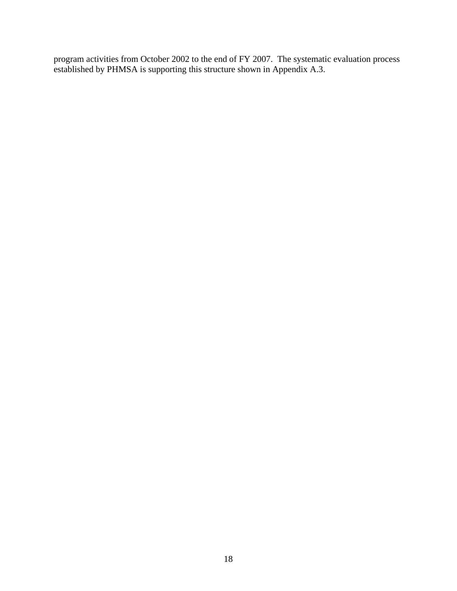program activities from October 2002 to the end of FY 2007. The systematic evaluation process established by PHMSA is supporting this structure shown in Appendix A.3.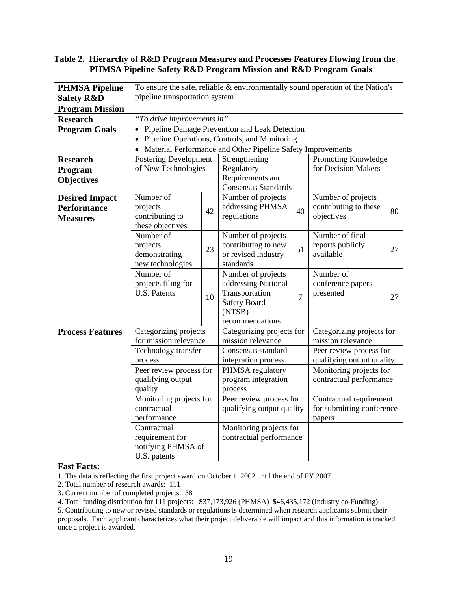#### **Table 2. Hierarchy of R&D Program Measures and Processes Features Flowing from the PHMSA Pipeline Safety R&D Program Mission and R&D Program Goals**

| <b>PHMSA Pipeline</b>   | To ensure the safe, reliable $&$ environmentally sound operation of the Nation's |                         |                                                             |                   |                                     |    |  |
|-------------------------|----------------------------------------------------------------------------------|-------------------------|-------------------------------------------------------------|-------------------|-------------------------------------|----|--|
| <b>Safety R&amp;D</b>   | pipeline transportation system.                                                  |                         |                                                             |                   |                                     |    |  |
| <b>Program Mission</b>  |                                                                                  |                         |                                                             |                   |                                     |    |  |
| <b>Research</b>         | "To drive improvements in"                                                       |                         |                                                             |                   |                                     |    |  |
| <b>Program Goals</b>    |                                                                                  |                         | Pipeline Damage Prevention and Leak Detection               |                   |                                     |    |  |
|                         | Pipeline Operations, Controls, and Monitoring                                    |                         |                                                             |                   |                                     |    |  |
|                         |                                                                                  |                         | Material Performance and Other Pipeline Safety Improvements |                   |                                     |    |  |
| <b>Research</b>         | <b>Fostering Development</b>                                                     |                         | Strengthening                                               |                   | Promoting Knowledge                 |    |  |
| Program                 | of New Technologies                                                              |                         | Regulatory                                                  |                   | for Decision Makers                 |    |  |
| <b>Objectives</b>       |                                                                                  |                         | Requirements and                                            |                   |                                     |    |  |
|                         |                                                                                  |                         | Consensus Standards                                         |                   |                                     |    |  |
| <b>Desired Impact</b>   | Number of                                                                        |                         | Number of projects                                          |                   | Number of projects                  |    |  |
| <b>Performance</b>      | projects<br>contributing to                                                      | 42                      | addressing PHMSA<br>regulations                             | 40                | contributing to these<br>objectives | 80 |  |
| <b>Measures</b>         | these objectives                                                                 |                         |                                                             |                   |                                     |    |  |
|                         | Number of                                                                        |                         | Number of projects                                          |                   | Number of final                     |    |  |
|                         | projects                                                                         |                         | contributing to new                                         |                   | reports publicly                    |    |  |
|                         | demonstrating                                                                    | 23                      | or revised industry                                         | 51                | available                           | 27 |  |
|                         | new technologies                                                                 |                         | standards                                                   |                   |                                     |    |  |
|                         | Number of                                                                        |                         | Number of projects                                          |                   | Number of                           |    |  |
|                         | projects filing for                                                              |                         | addressing National                                         |                   | conference papers                   |    |  |
|                         | <b>U.S. Patents</b>                                                              | 10                      | Transportation                                              | $\overline{7}$    | presented                           | 27 |  |
|                         |                                                                                  | <b>Safety Board</b>     |                                                             |                   |                                     |    |  |
|                         |                                                                                  |                         | (NTSB)                                                      |                   |                                     |    |  |
|                         |                                                                                  |                         | recommendations                                             |                   | Categorizing projects for           |    |  |
| <b>Process Features</b> | Categorizing projects<br>for mission relevance                                   |                         | Categorizing projects for<br>mission relevance              | mission relevance |                                     |    |  |
|                         | Technology transfer                                                              |                         | Consensus standard                                          |                   | Peer review process for             |    |  |
|                         | process                                                                          |                         | integration process                                         |                   | qualifying output quality           |    |  |
|                         | Peer review process for                                                          |                         | PHMSA regulatory                                            |                   | Monitoring projects for             |    |  |
|                         | qualifying output                                                                |                         | program integration                                         |                   | contractual performance             |    |  |
|                         | quality<br>process                                                               |                         |                                                             |                   |                                     |    |  |
|                         | Monitoring projects for                                                          |                         | Peer review process for                                     |                   | Contractual requirement             |    |  |
|                         | contractual                                                                      |                         | qualifying output quality                                   |                   | for submitting conference           |    |  |
|                         | performance                                                                      |                         |                                                             |                   | papers                              |    |  |
|                         | Contractual                                                                      |                         | Monitoring projects for                                     |                   |                                     |    |  |
|                         | requirement for                                                                  | contractual performance |                                                             |                   |                                     |    |  |
|                         | notifying PHMSA of                                                               |                         |                                                             |                   |                                     |    |  |
|                         | U.S. patents                                                                     |                         |                                                             |                   |                                     |    |  |

#### **Fast Facts:**

1. The data is reflecting the first project award on October 1, 2002 until the end of FY 2007.

- 2. Total number of research awards: 111
- 3. Current number of completed projects: 58

4. Total funding distribution for 111 projects: **\$**37,173,926 (PHMSA) **\$**46,435,172 (Industry co-Funding)

5. Contributing to new or revised standards or regulations is determined when research applicants submit their proposals. Each applicant characterizes what their project deliverable will impact and this information is tracked once a project is awarded.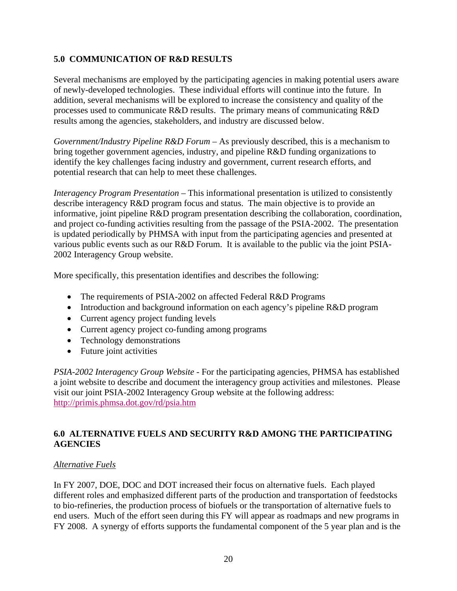#### **5.0 COMMUNICATION OF R&D RESULTS**

Several mechanisms are employed by the participating agencies in making potential users aware of newly-developed technologies. These individual efforts will continue into the future. In addition, several mechanisms will be explored to increase the consistency and quality of the processes used to communicate R&D results. The primary means of communicating R&D results among the agencies, stakeholders, and industry are discussed below.

*Government/Industry Pipeline R&D Forum* – As previously described, this is a mechanism to bring together government agencies, industry, and pipeline R&D funding organizations to identify the key challenges facing industry and government, current research efforts, and potential research that can help to meet these challenges.

*Interagency Program Presentation* – This informational presentation is utilized to consistently describe interagency R&D program focus and status. The main objective is to provide an informative, joint pipeline R&D program presentation describing the collaboration, coordination, and project co-funding activities resulting from the passage of the PSIA-2002. The presentation is updated periodically by PHMSA with input from the participating agencies and presented at various public events such as our R&D Forum. It is available to the public via the joint PSIA-2002 Interagency Group website.

More specifically, this presentation identifies and describes the following:

- The requirements of PSIA-2002 on affected Federal R&D Programs
- Introduction and background information on each agency's pipeline R&D program
- Current agency project funding levels
- Current agency project co-funding among programs
- Technology demonstrations
- Future joint activities

*PSIA-2002 Interagency Group Website* - For the participating agencies, PHMSA has established a joint website to describe and document the interagency group activities and milestones. Please visit our joint PSIA-2002 Interagency Group website at the following address: http://primis.phmsa.dot.gov/rd/psia.htm

#### **6.0 ALTERNATIVE FUELS AND SECURITY R&D AMONG THE PARTICIPATING AGENCIES**

#### *Alternative Fuels*

In FY 2007, DOE, DOC and DOT increased their focus on alternative fuels. Each played different roles and emphasized different parts of the production and transportation of feedstocks to bio-refineries, the production process of biofuels or the transportation of alternative fuels to end users. Much of the effort seen during this FY will appear as roadmaps and new programs in FY 2008. A synergy of efforts supports the fundamental component of the 5 year plan and is the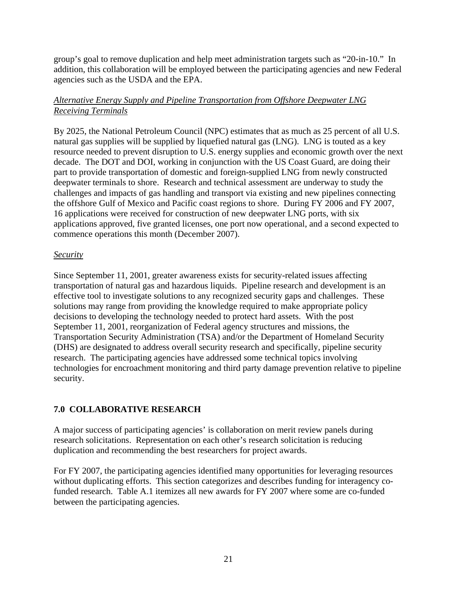group's goal to remove duplication and help meet administration targets such as "20-in-10." In addition, this collaboration will be employed between the participating agencies and new Federal agencies such as the USDA and the EPA.

#### *Alternative Energy Supply and Pipeline Transportation from Offshore Deepwater LNG Receiving Terminals*

By 2025, the National Petroleum Council (NPC) estimates that as much as 25 percent of all U.S. natural gas supplies will be supplied by liquefied natural gas (LNG). LNG is touted as a key resource needed to prevent disruption to U.S. energy supplies and economic growth over the next decade. The DOT and DOI, working in conjunction with the US Coast Guard, are doing their part to provide transportation of domestic and foreign-supplied LNG from newly constructed deepwater terminals to shore. Research and technical assessment are underway to study the challenges and impacts of gas handling and transport via existing and new pipelines connecting the offshore Gulf of Mexico and Pacific coast regions to shore. During FY 2006 and FY 2007, 16 applications were received for construction of new deepwater LNG ports, with six applications approved, five granted licenses, one port now operational, and a second expected to commence operations this month (December 2007).

#### *Security*

Since September 11, 2001, greater awareness exists for security-related issues affecting transportation of natural gas and hazardous liquids. Pipeline research and development is an effective tool to investigate solutions to any recognized security gaps and challenges. These solutions may range from providing the knowledge required to make appropriate policy decisions to developing the technology needed to protect hard assets. With the post September 11, 2001, reorganization of Federal agency structures and missions, the Transportation Security Administration (TSA) and/or the Department of Homeland Security (DHS) are designated to address overall security research and specifically, pipeline security research. The participating agencies have addressed some technical topics involving technologies for encroachment monitoring and third party damage prevention relative to pipeline security.

#### **7.0 COLLABORATIVE RESEARCH**

A major success of participating agencies' is collaboration on merit review panels during research solicitations. Representation on each other's research solicitation is reducing duplication and recommending the best researchers for project awards.

For FY 2007, the participating agencies identified many opportunities for leveraging resources without duplicating efforts. This section categorizes and describes funding for interagency cofunded research. Table A.1 itemizes all new awards for FY 2007 where some are co-funded between the participating agencies.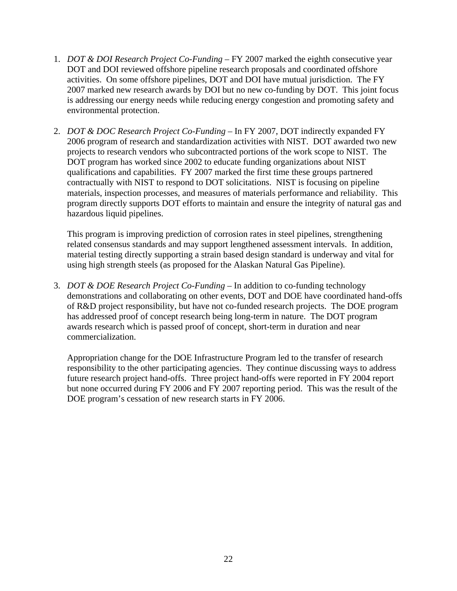- 1. *DOT & DOI Research Project Co-Funding* FY 2007 marked the eighth consecutive year DOT and DOI reviewed offshore pipeline research proposals and coordinated offshore activities. On some offshore pipelines, DOT and DOI have mutual jurisdiction. The FY 2007 marked new research awards by DOI but no new co-funding by DOT. This joint focus is addressing our energy needs while reducing energy congestion and promoting safety and environmental protection.
- 2. *DOT & DOC Research Project Co-Funding* In FY 2007, DOT indirectly expanded FY 2006 program of research and standardization activities with NIST. DOT awarded two new projects to research vendors who subcontracted portions of the work scope to NIST. The DOT program has worked since 2002 to educate funding organizations about NIST qualifications and capabilities. FY 2007 marked the first time these groups partnered contractually with NIST to respond to DOT solicitations. NIST is focusing on pipeline materials, inspection processes, and measures of materials performance and reliability. This program directly supports DOT efforts to maintain and ensure the integrity of natural gas and hazardous liquid pipelines.

This program is improving prediction of corrosion rates in steel pipelines, strengthening related consensus standards and may support lengthened assessment intervals. In addition, material testing directly supporting a strain based design standard is underway and vital for using high strength steels (as proposed for the Alaskan Natural Gas Pipeline).

3. *DOT & DOE Research Project Co-Funding –* In addition to co-funding technology demonstrations and collaborating on other events, DOT and DOE have coordinated hand-offs of R&D project responsibility, but have not co-funded research projects. The DOE program has addressed proof of concept research being long-term in nature. The DOT program awards research which is passed proof of concept, short-term in duration and near commercialization.

Appropriation change for the DOE Infrastructure Program led to the transfer of research responsibility to the other participating agencies. They continue discussing ways to address future research project hand-offs. Three project hand-offs were reported in FY 2004 report but none occurred during FY 2006 and FY 2007 reporting period. This was the result of the DOE program's cessation of new research starts in FY 2006.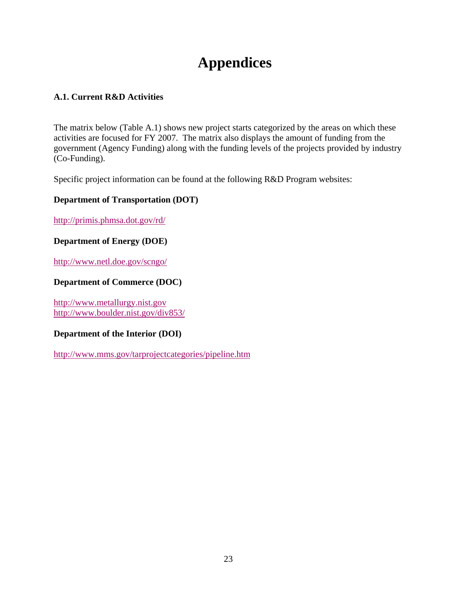# **Appendices**

#### **A.1. Current R&D Activities**

The matrix below (Table A.1) shows new project starts categorized by the areas on which these activities are focused for FY 2007. The matrix also displays the amount of funding from the government (Agency Funding) along with the funding levels of the projects provided by industry (Co-Funding).

Specific project information can be found at the following R&D Program websites:

#### **Department of Transportation (DOT)**

http://primis.phmsa.dot.gov/rd/

#### **Department of Energy (DOE)**

http://www.netl.doe.gov/scngo/

#### **Department of Commerce (DOC)**

http://www.metallurgy.nist.gov http://www.boulder.nist.gov/div853/

#### **Department of the Interior (DOI)**

http://www.mms.gov/tarprojectcategories/pipeline.htm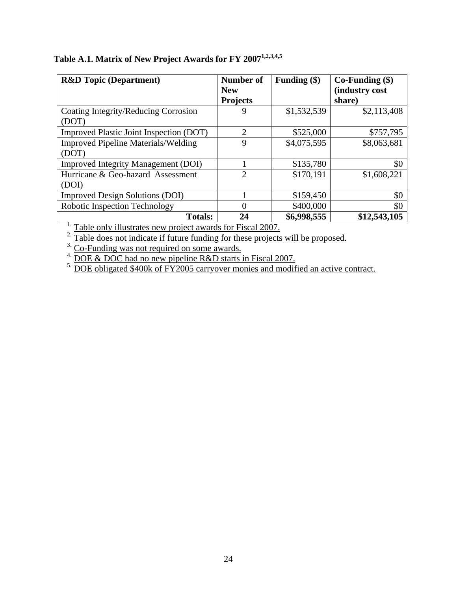| <b>R&amp;D</b> Topic (Department)          | <b>Number of</b><br><b>New</b><br><b>Projects</b> | Funding $(\$)$ | $Co-Funding$ (\$)<br>(industry cost<br>share) |
|--------------------------------------------|---------------------------------------------------|----------------|-----------------------------------------------|
| Coating Integrity/Reducing Corrosion       | 9                                                 | \$1,532,539    | \$2,113,408                                   |
| (DOT)                                      |                                                   |                |                                               |
| Improved Plastic Joint Inspection (DOT)    | $\overline{2}$                                    | \$525,000      | \$757,795                                     |
| <b>Improved Pipeline Materials/Welding</b> | 9                                                 | \$4,075,595    | \$8,063,681                                   |
| (DOT)                                      |                                                   |                |                                               |
| <b>Improved Integrity Management (DOI)</b> |                                                   | \$135,780      | \$0                                           |
| Hurricane & Geo-hazard Assessment          | $\overline{2}$                                    | \$170,191      | \$1,608,221                                   |
| (DOI)                                      |                                                   |                |                                               |
| <b>Improved Design Solutions (DOI)</b>     |                                                   | \$159,450      | \$0                                           |
| Robotic Inspection Technology              | $\Omega$                                          | \$400,000      | \$0                                           |
| <b>Totals:</b>                             | 24                                                | \$6,998,555    | \$12,543,105                                  |

## Table A.1. Matrix of New Project Awards for FY 2007<sup>1,2,3,4,5</sup>

<sup>1.</sup> Table only illustrates new project awards for Fiscal 2007.

 $2\overline{}$ . Table does not indicate if future funding for these projects will be proposed.

 $3.$  Co-Funding was not required on some awards.

 $4.$  DOE & DOC had no new pipeline R&D starts in Fiscal 2007.

<sup>5.</sup> DOE obligated \$400k of FY2005 carryover monies and modified an active contract.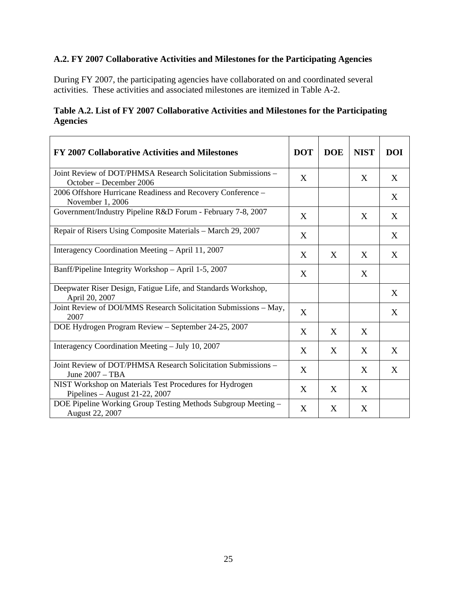### **A.2. FY 2007 Collaborative Activities and Milestones for the Participating Agencies**

During FY 2007, the participating agencies have collaborated on and coordinated several activities. These activities and associated milestones are itemized in Table A-2.

|                 | Table A.2. List of FY 2007 Collaborative Activities and Milestones for the Participating |
|-----------------|------------------------------------------------------------------------------------------|
| <b>Agencies</b> |                                                                                          |

| FY 2007 Collaborative Activities and Milestones                                           | <b>DOT</b> | <b>DOE</b> | <b>NIST</b> | <b>DOI</b> |
|-------------------------------------------------------------------------------------------|------------|------------|-------------|------------|
| Joint Review of DOT/PHMSA Research Solicitation Submissions –<br>October – December 2006  | X          |            | X           | X          |
| 2006 Offshore Hurricane Readiness and Recovery Conference -<br>November 1, 2006           |            |            |             | X          |
| Government/Industry Pipeline R&D Forum - February 7-8, 2007                               | X          |            | X           | X          |
| Repair of Risers Using Composite Materials - March 29, 2007                               | X          |            |             | X          |
| Interagency Coordination Meeting - April 11, 2007                                         | X          | X          | X           | X          |
| Banff/Pipeline Integrity Workshop - April 1-5, 2007                                       | X          |            | X           |            |
| Deepwater Riser Design, Fatigue Life, and Standards Workshop,<br>April 20, 2007           |            |            |             | X          |
| Joint Review of DOI/MMS Research Solicitation Submissions - May,<br>2007                  | X          |            |             | X          |
| DOE Hydrogen Program Review - September 24-25, 2007                                       | X          | X          | X           |            |
| Interagency Coordination Meeting - July 10, 2007                                          | X          | X          | X           | X          |
| Joint Review of DOT/PHMSA Research Solicitation Submissions -<br>June $2007 - TBA$        | X          |            | X           | X          |
| NIST Workshop on Materials Test Procedures for Hydrogen<br>Pipelines – August 21-22, 2007 | X          | X          | X           |            |
| DOE Pipeline Working Group Testing Methods Subgroup Meeting -<br>August 22, 2007          | X          | X          | X           |            |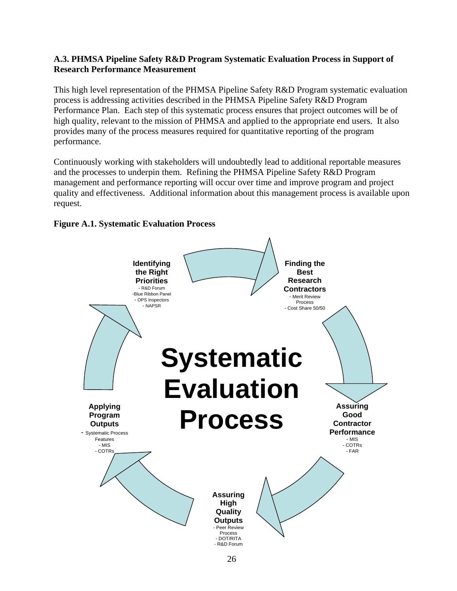#### **A.3. PHMSA Pipeline Safety R&D Program Systematic Evaluation Process in Support of Research Performance Measurement**

This high level representation of the PHMSA Pipeline Safety R&D Program systematic evaluation process is addressing activities described in the PHMSA Pipeline Safety R&D Program Performance Plan. Each step of this systematic process ensures that project outcomes will be of high quality, relevant to the mission of PHMSA and applied to the appropriate end users. It also provides many of the process measures required for quantitative reporting of the program performance.

Continuously working with stakeholders will undoubtedly lead to additional reportable measures and the processes to underpin them. Refining the PHMSA Pipeline Safety R&D Program management and performance reporting will occur over time and improve program and project quality and effectiveness. Additional information about this management process is available upon request.



**Figure A.1. Systematic Evaluation Process**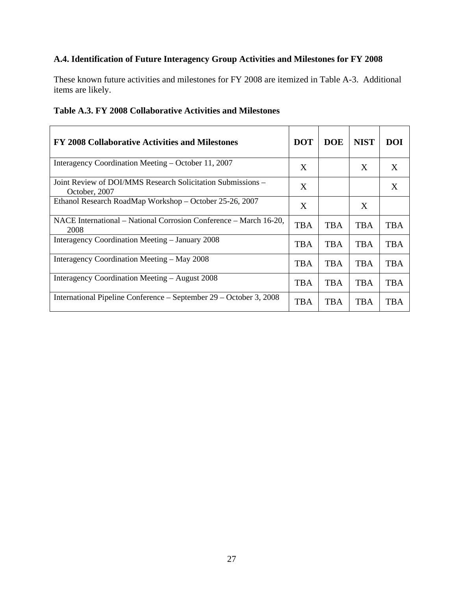#### **A.4. Identification of Future Interagency Group Activities and Milestones for FY 2008**

These known future activities and milestones for FY 2008 are itemized in Table A-3. Additional items are likely.

| FY 2008 Collaborative Activities and Milestones                              | <b>DOT</b> | <b>DOE</b> | <b>NIST</b> | <b>DOI</b> |
|------------------------------------------------------------------------------|------------|------------|-------------|------------|
| Interagency Coordination Meeting – October 11, 2007                          | X          |            | X           | X          |
| Joint Review of DOI/MMS Research Solicitation Submissions -<br>October, 2007 | X          |            |             | X          |
| Ethanol Research RoadMap Workshop - October 25-26, 2007                      | X          |            | X           |            |
| NACE International – National Corrosion Conference – March 16-20,<br>2008    | <b>TBA</b> | <b>TBA</b> | <b>TBA</b>  | TBA        |
| Interagency Coordination Meeting – January 2008                              | <b>TBA</b> | <b>TBA</b> | <b>TBA</b>  | <b>TBA</b> |
| Interagency Coordination Meeting – May 2008                                  | <b>TBA</b> | <b>TBA</b> | <b>TBA</b>  | <b>TBA</b> |
| Interagency Coordination Meeting – August 2008                               | <b>TBA</b> | <b>TBA</b> | <b>TBA</b>  | <b>TBA</b> |
| International Pipeline Conference – September 29 – October 3, 2008           | <b>TBA</b> | <b>TBA</b> | <b>TBA</b>  | TBA        |

#### **Table A.3. FY 2008 Collaborative Activities and Milestones**